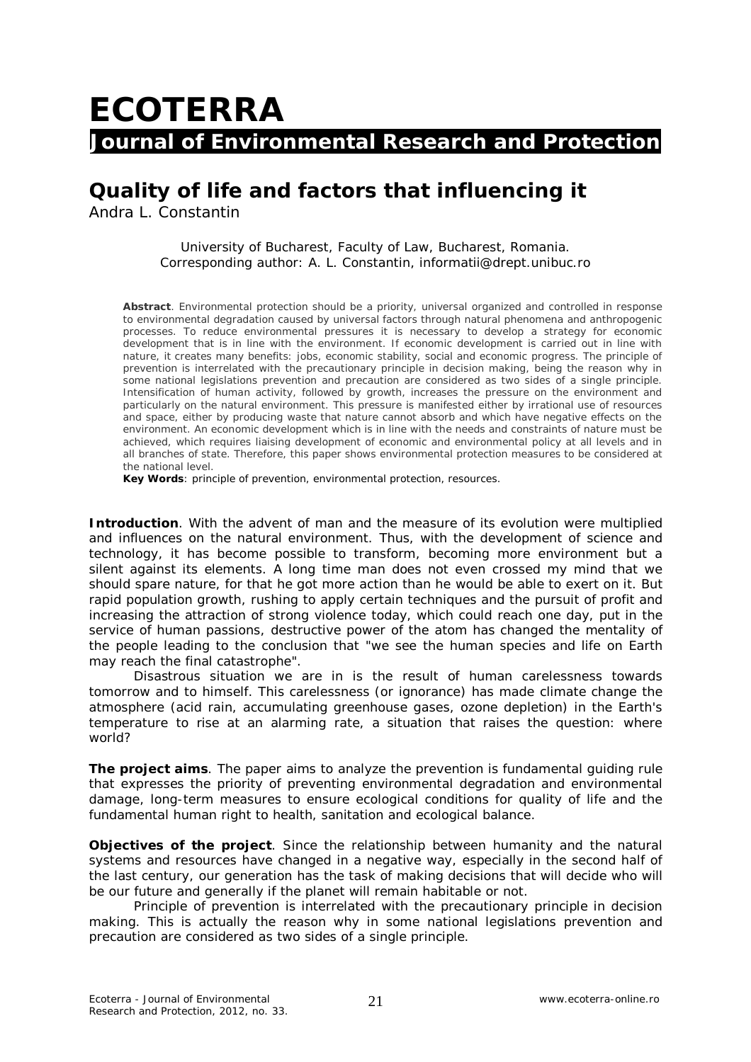## **ECOTERRA Journal of Environmental Research and Protection**

## **Quality of life and factors that influencing it**

Andra L. Constantin

University of Bucharest, Faculty of Law, Bucharest, Romania. Corresponding author: A. L. Constantin, informatii@drept.unibuc.ro

**Abstract**. Environmental protection should be a priority, universal organized and controlled in response to environmental degradation caused by universal factors through natural phenomena and anthropogenic processes. To reduce environmental pressures it is necessary to develop a strategy for economic development that is in line with the environment. If economic development is carried out in line with nature, it creates many benefits: jobs, economic stability, social and economic progress. The principle of prevention is interrelated with the precautionary principle in decision making, being the reason why in some national legislations prevention and precaution are considered as two sides of a single principle. Intensification of human activity, followed by growth, increases the pressure on the environment and particularly on the natural environment. This pressure is manifested either by irrational use of resources and space, either by producing waste that nature cannot absorb and which have negative effects on the environment. An economic development which is in line with the needs and constraints of nature must be achieved, which requires liaising development of economic and environmental policy at all levels and in all branches of state. Therefore, this paper shows environmental protection measures to be considered at the national level.

**Key Words**: principle of prevention, environmental protection, resources.

**Introduction**. With the advent of man and the measure of its evolution were multiplied and influences on the natural environment. Thus, with the development of science and technology, it has become possible to transform, becoming more environment but a silent against its elements. A long time man does not even crossed my mind that we should spare nature, for that he got more action than he would be able to exert on it. But rapid population growth, rushing to apply certain techniques and the pursuit of profit and increasing the attraction of strong violence today, which could reach one day, put in the service of human passions, destructive power of the atom has changed the mentality of the people leading to the conclusion that "we see the human species and life on Earth may reach the final catastrophe".

Disastrous situation we are in is the result of human carelessness towards tomorrow and to himself. This carelessness (or ignorance) has made climate change the atmosphere (acid rain, accumulating greenhouse gases, ozone depletion) in the Earth's temperature to rise at an alarming rate, a situation that raises the question: where world?

*The project aims.* The paper aims to analyze the prevention is fundamental guiding rule that expresses the priority of preventing environmental degradation and environmental damage, long-term measures to ensure ecological conditions for quality of life and the fundamental human right to health, sanitation and ecological balance.

*Objectives of the project.* Since the relationship between humanity and the natural systems and resources have changed in a negative way, especially in the second half of the last century, our generation has the task of making decisions that will decide who will be our future and generally if the planet will remain habitable or not.

Principle of prevention is interrelated with the precautionary principle in decision making. This is actually the reason why in some national legislations prevention and precaution are considered as two sides of a single principle.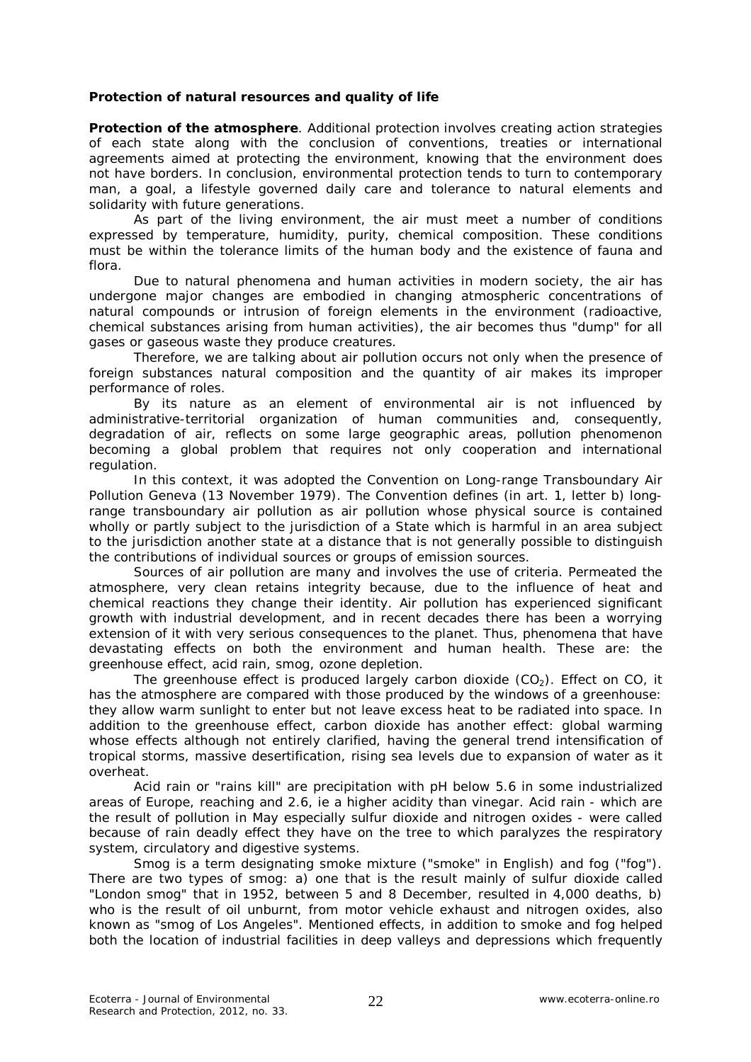## **Protection of natural resources and quality of life**

*Protection of the atmosphere.* Additional protection involves creating action strategies of each state along with the conclusion of conventions, treaties or international agreements aimed at protecting the environment, knowing that the environment does not have borders. In conclusion, environmental protection tends to turn to contemporary man, a goal, a lifestyle governed daily care and tolerance to natural elements and solidarity with future generations.

As part of the living environment, the air must meet a number of conditions expressed by temperature, humidity, purity, chemical composition. These conditions must be within the tolerance limits of the human body and the existence of fauna and flora.

Due to natural phenomena and human activities in modern society, the air has undergone major changes are embodied in changing atmospheric concentrations of natural compounds or intrusion of foreign elements in the environment (radioactive, chemical substances arising from human activities), the air becomes thus "dump" for all gases or gaseous waste they produce creatures.

Therefore, we are talking about air pollution occurs not only when the presence of foreign substances natural composition and the quantity of air makes its improper performance of roles.

By its nature as an element of environmental air is not influenced by administrative-territorial organization of human communities and, consequently, degradation of air, reflects on some large geographic areas, pollution phenomenon becoming a global problem that requires not only cooperation and international regulation.

In this context, it was adopted the Convention on Long-range Transboundary Air Pollution Geneva (13 November 1979). The Convention defines (in art. 1, letter b) longrange transboundary air pollution as air pollution whose physical source is contained wholly or partly subject to the jurisdiction of a State which is harmful in an area subject to the jurisdiction another state at a distance that is not generally possible to distinguish the contributions of individual sources or groups of emission sources.

Sources of air pollution are many and involves the use of criteria. Permeated the atmosphere, very clean retains integrity because, due to the influence of heat and chemical reactions they change their identity. Air pollution has experienced significant growth with industrial development, and in recent decades there has been a worrying extension of it with very serious consequences to the planet. Thus, phenomena that have devastating effects on both the environment and human health. These are: the greenhouse effect, acid rain, smog, ozone depletion.

The greenhouse effect is produced largely carbon dioxide  $(CO<sub>2</sub>)$ . Effect on CO, it has the atmosphere are compared with those produced by the windows of a greenhouse: they allow warm sunlight to enter but not leave excess heat to be radiated into space. In addition to the greenhouse effect, carbon dioxide has another effect: global warming whose effects although not entirely clarified, having the general trend intensification of tropical storms, massive desertification, rising sea levels due to expansion of water as it overheat.

Acid rain or "rains kill" are precipitation with pH below 5.6 in some industrialized areas of Europe, reaching and 2.6, ie a higher acidity than vinegar. Acid rain - which are the result of pollution in May especially sulfur dioxide and nitrogen oxides - were called because of rain deadly effect they have on the tree to which paralyzes the respiratory system, circulatory and digestive systems.

Smog is a term designating smoke mixture ("smoke" in English) and fog ("fog"). There are two types of smog: a) one that is the result mainly of sulfur dioxide called "London smog" that in 1952, between 5 and 8 December, resulted in 4,000 deaths, b) who is the result of oil unburnt, from motor vehicle exhaust and nitrogen oxides, also known as "smog of Los Angeles". Mentioned effects, in addition to smoke and fog helped both the location of industrial facilities in deep valleys and depressions which frequently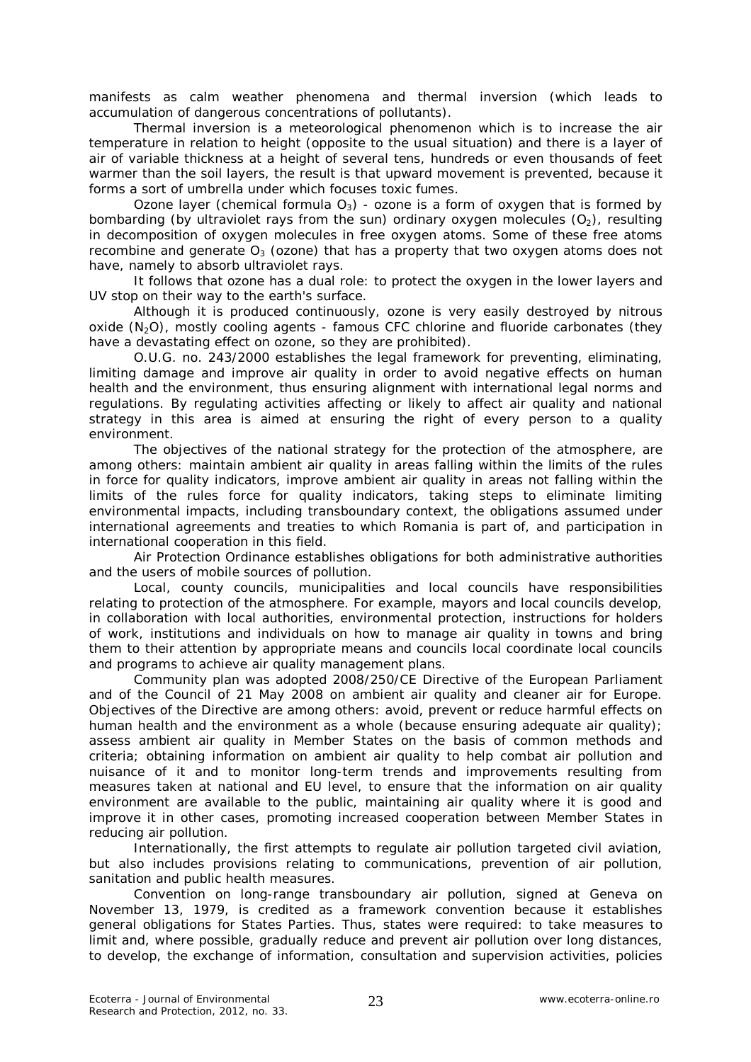manifests as calm weather phenomena and thermal inversion (which leads to accumulation of dangerous concentrations of pollutants).

Thermal inversion is a meteorological phenomenon which is to increase the air temperature in relation to height (opposite to the usual situation) and there is a layer of air of variable thickness at a height of several tens, hundreds or even thousands of feet warmer than the soil layers, the result is that upward movement is prevented, because it forms a sort of umbrella under which focuses toxic fumes.

Ozone layer (chemical formula  $O_3$ ) - ozone is a form of oxygen that is formed by bombarding (by ultraviolet rays from the sun) ordinary oxygen molecules  $(O_2)$ , resulting in decomposition of oxygen molecules in free oxygen atoms. Some of these free atoms recombine and generate  $O_3$  (ozone) that has a property that two oxygen atoms does not have, namely to absorb ultraviolet rays.

It follows that ozone has a dual role: to protect the oxygen in the lower layers and UV stop on their way to the earth's surface.

Although it is produced continuously, ozone is very easily destroyed by nitrous oxide (N<sub>2</sub>O), mostly cooling agents - famous CFC chlorine and fluoride carbonates (they have a devastating effect on ozone, so they are prohibited).

O.U.G. no. 243/2000 establishes the legal framework for preventing, eliminating, limiting damage and improve air quality in order to avoid negative effects on human health and the environment, thus ensuring alignment with international legal norms and regulations. By regulating activities affecting or likely to affect air quality and national strategy in this area is aimed at ensuring the right of every person to a quality environment.

The objectives of the national strategy for the protection of the atmosphere, are among others: maintain ambient air quality in areas falling within the limits of the rules in force for quality indicators, improve ambient air quality in areas not falling within the limits of the rules force for quality indicators, taking steps to eliminate limiting environmental impacts, including transboundary context, the obligations assumed under international agreements and treaties to which Romania is part of, and participation in international cooperation in this field.

Air Protection Ordinance establishes obligations for both administrative authorities and the users of mobile sources of pollution.

Local, county councils, municipalities and local councils have responsibilities relating to protection of the atmosphere. For example, mayors and local councils develop, in collaboration with local authorities, environmental protection, instructions for holders of work, institutions and individuals on how to manage air quality in towns and bring them to their attention by appropriate means and councils local coordinate local councils and programs to achieve air quality management plans.

Community plan was adopted 2008/250/CE Directive of the European Parliament and of the Council of 21 May 2008 on ambient air quality and cleaner air for Europe. Objectives of the Directive are among others: avoid, prevent or reduce harmful effects on human health and the environment as a whole (because ensuring adequate air quality); assess ambient air quality in Member States on the basis of common methods and criteria; obtaining information on ambient air quality to help combat air pollution and nuisance of it and to monitor long-term trends and improvements resulting from measures taken at national and EU level, to ensure that the information on air quality environment are available to the public, maintaining air quality where it is good and improve it in other cases, promoting increased cooperation between Member States in reducing air pollution.

Internationally, the first attempts to regulate air pollution targeted civil aviation, but also includes provisions relating to communications, prevention of air pollution, sanitation and public health measures.

Convention on long-range transboundary air pollution, signed at Geneva on November 13, 1979, is credited as a framework convention because it establishes general obligations for States Parties. Thus, states were required: to take measures to limit and, where possible, gradually reduce and prevent air pollution over long distances, to develop, the exchange of information, consultation and supervision activities, policies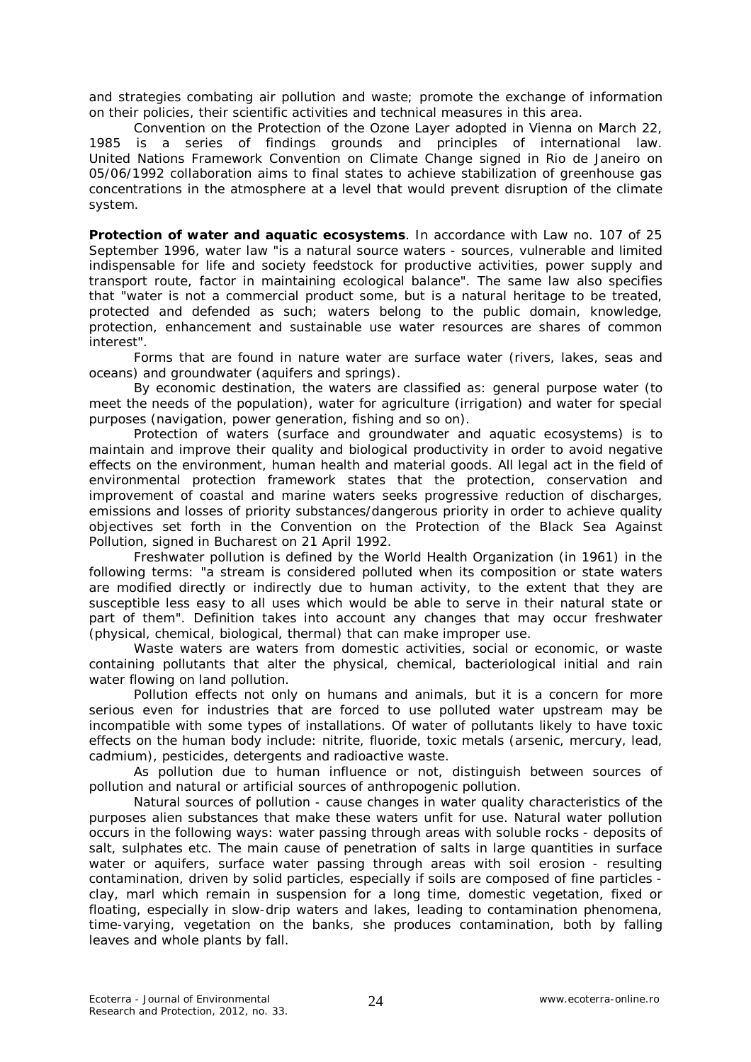and strategies combating air pollution and waste; promote the exchange of information on their policies, their scientific activities and technical measures in this area.

Convention on the Protection of the Ozone Layer adopted in Vienna on March 22, 1985 is a series of findings grounds and principles of international law. United Nations Framework Convention on Climate Change signed in Rio de Janeiro on 05/06/1992 collaboration aims to final states to achieve stabilization of greenhouse gas concentrations in the atmosphere at a level that would prevent disruption of the climate system.

*Protection of water and aquatic ecosystems.* In accordance with Law no. 107 of 25 September 1996, water law "is a natural source waters - sources, vulnerable and limited indispensable for life and society feedstock for productive activities, power supply and transport route, factor in maintaining ecological balance". The same law also specifies that "water is not a commercial product some, but is a natural heritage to be treated, protected and defended as such; waters belong to the public domain, knowledge, protection, enhancement and sustainable use water resources are shares of common interest".

Forms that are found in nature water are surface water (rivers, lakes, seas and oceans) and groundwater (aquifers and springs).

By economic destination, the waters are classified as: general purpose water (to meet the needs of the population), water for agriculture (irrigation) and water for special purposes (navigation, power generation, fishing and so on).

Protection of waters (surface and groundwater and aquatic ecosystems) is to maintain and improve their quality and biological productivity in order to avoid negative effects on the environment, human health and material goods. All legal act in the field of environmental protection framework states that the protection, conservation and improvement of coastal and marine waters seeks progressive reduction of discharges, emissions and losses of priority substances/dangerous priority in order to achieve quality objectives set forth in the Convention on the Protection of the Black Sea Against Pollution, signed in Bucharest on 21 April 1992.

Freshwater pollution is defined by the World Health Organization (in 1961) in the following terms: "a stream is considered polluted when its composition or state waters are modified directly or indirectly due to human activity, to the extent that they are susceptible less easy to all uses which would be able to serve in their natural state or part of them". Definition takes into account any changes that may occur freshwater (physical, chemical, biological, thermal) that can make improper use.

Waste waters are waters from domestic activities, social or economic, or waste containing pollutants that alter the physical, chemical, bacteriological initial and rain water flowing on land pollution.

Pollution effects not only on humans and animals, but it is a concern for more serious even for industries that are forced to use polluted water upstream may be incompatible with some types of installations. Of water of pollutants likely to have toxic effects on the human body include: nitrite, fluoride, toxic metals (arsenic, mercury, lead, cadmium), pesticides, detergents and radioactive waste.

As pollution due to human influence or not, distinguish between sources of pollution and natural or artificial sources of anthropogenic pollution.

Natural sources of pollution - cause changes in water quality characteristics of the purposes alien substances that make these waters unfit for use. Natural water pollution occurs in the following ways: water passing through areas with soluble rocks - deposits of salt, sulphates etc. The main cause of penetration of salts in large quantities in surface water or aquifers, surface water passing through areas with soil erosion - resulting contamination, driven by solid particles, especially if soils are composed of fine particles clay, marl which remain in suspension for a long time, domestic vegetation, fixed or floating, especially in slow-drip waters and lakes, leading to contamination phenomena, time-varying, vegetation on the banks, she produces contamination, both by falling leaves and whole plants by fall.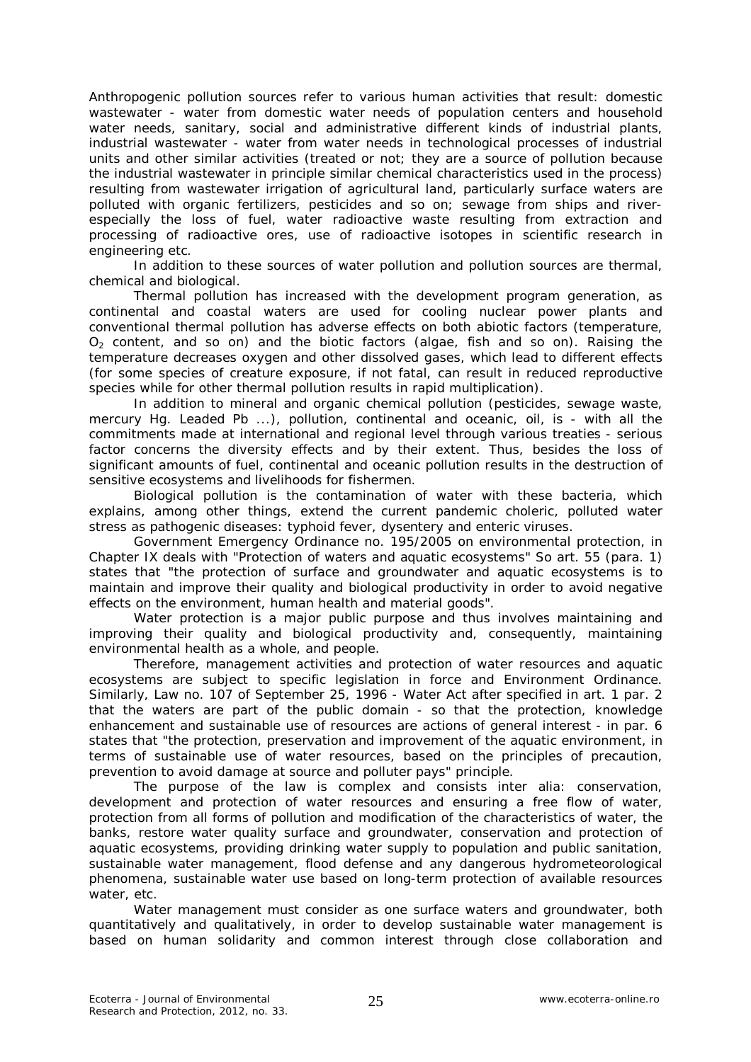Anthropogenic pollution sources refer to various human activities that result: domestic wastewater - water from domestic water needs of population centers and household water needs, sanitary, social and administrative different kinds of industrial plants, industrial wastewater - water from water needs in technological processes of industrial units and other similar activities (treated or not; they are a source of pollution because the industrial wastewater in principle similar chemical characteristics used in the process) resulting from wastewater irrigation of agricultural land, particularly surface waters are polluted with organic fertilizers, pesticides and so on; sewage from ships and riverespecially the loss of fuel, water radioactive waste resulting from extraction and processing of radioactive ores, use of radioactive isotopes in scientific research in engineering etc.

In addition to these sources of water pollution and pollution sources are thermal, chemical and biological.

Thermal pollution has increased with the development program generation, as continental and coastal waters are used for cooling nuclear power plants and conventional thermal pollution has adverse effects on both abiotic factors (temperature,  $O<sub>2</sub>$  content, and so on) and the biotic factors (algae, fish and so on). Raising the temperature decreases oxygen and other dissolved gases, which lead to different effects (for some species of creature exposure, if not fatal, can result in reduced reproductive species while for other thermal pollution results in rapid multiplication).

In addition to mineral and organic chemical pollution (pesticides, sewage waste, mercury Hg. Leaded Pb ...), pollution, continental and oceanic, oil, is - with all the commitments made at international and regional level through various treaties - serious factor concerns the diversity effects and by their extent. Thus, besides the loss of significant amounts of fuel, continental and oceanic pollution results in the destruction of sensitive ecosystems and livelihoods for fishermen.

Biological pollution is the contamination of water with these bacteria, which explains, among other things, extend the current pandemic choleric, polluted water stress as pathogenic diseases: typhoid fever, dysentery and enteric viruses.

Government Emergency Ordinance no. 195/2005 on environmental protection, in Chapter IX deals with "Protection of waters and aquatic ecosystems" So art. 55 (para. 1) states that "the protection of surface and groundwater and aquatic ecosystems is to maintain and improve their quality and biological productivity in order to avoid negative effects on the environment, human health and material goods".

Water protection is a major public purpose and thus involves maintaining and improving their quality and biological productivity and, consequently, maintaining environmental health as a whole, and people.

Therefore, management activities and protection of water resources and aquatic ecosystems are subject to specific legislation in force and Environment Ordinance. Similarly, Law no. 107 of September 25, 1996 - Water Act after specified in art. 1 par. 2 that the waters are part of the public domain - so that the protection, knowledge enhancement and sustainable use of resources are actions of general interest - in par. 6 states that "the protection, preservation and improvement of the aquatic environment, in terms of sustainable use of water resources, based on the principles of precaution, prevention to avoid damage at source and polluter pays" principle.

The purpose of the law is complex and consists inter alia: conservation, development and protection of water resources and ensuring a free flow of water, protection from all forms of pollution and modification of the characteristics of water, the banks, restore water quality surface and groundwater, conservation and protection of aquatic ecosystems, providing drinking water supply to population and public sanitation, sustainable water management, flood defense and any dangerous hydrometeorological phenomena, sustainable water use based on long-term protection of available resources water, etc.

Water management must consider as one surface waters and groundwater, both quantitatively and qualitatively, in order to develop sustainable water management is based on human solidarity and common interest through close collaboration and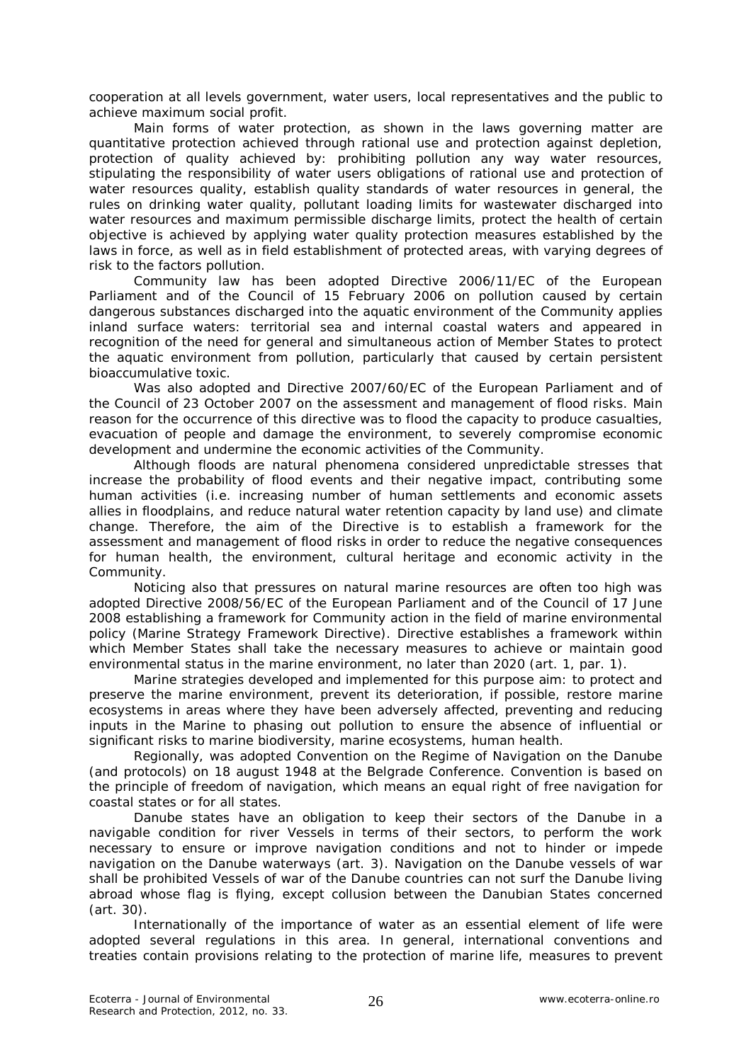cooperation at all levels government, water users, local representatives and the public to achieve maximum social profit.

Main forms of water protection, as shown in the laws governing matter are quantitative protection achieved through rational use and protection against depletion, protection of quality achieved by: prohibiting pollution any way water resources, stipulating the responsibility of water users obligations of rational use and protection of water resources quality, establish quality standards of water resources in general, the rules on drinking water quality, pollutant loading limits for wastewater discharged into water resources and maximum permissible discharge limits, protect the health of certain objective is achieved by applying water quality protection measures established by the laws in force, as well as in field establishment of protected areas, with varying degrees of risk to the factors pollution.

Community law has been adopted Directive 2006/11/EC of the European Parliament and of the Council of 15 February 2006 on pollution caused by certain dangerous substances discharged into the aquatic environment of the Community applies inland surface waters: territorial sea and internal coastal waters and appeared in recognition of the need for general and simultaneous action of Member States to protect the aquatic environment from pollution, particularly that caused by certain persistent bioaccumulative toxic.

Was also adopted and Directive 2007/60/EC of the European Parliament and of the Council of 23 October 2007 on the assessment and management of flood risks. Main reason for the occurrence of this directive was to flood the capacity to produce casualties, evacuation of people and damage the environment, to severely compromise economic development and undermine the economic activities of the Community.

Although floods are natural phenomena considered unpredictable stresses that increase the probability of flood events and their negative impact, contributing some human activities (i.e. increasing number of human settlements and economic assets allies in floodplains, and reduce natural water retention capacity by land use) and climate change. Therefore, the aim of the Directive is to establish a framework for the assessment and management of flood risks in order to reduce the negative consequences for human health, the environment, cultural heritage and economic activity in the Community.

Noticing also that pressures on natural marine resources are often too high was adopted Directive 2008/56/EC of the European Parliament and of the Council of 17 June 2008 establishing a framework for Community action in the field of marine environmental policy (Marine Strategy Framework Directive). Directive establishes a framework within which Member States shall take the necessary measures to achieve or maintain good environmental status in the marine environment, no later than 2020 (art. 1, par. 1).

Marine strategies developed and implemented for this purpose aim: to protect and preserve the marine environment, prevent its deterioration, if possible, restore marine ecosystems in areas where they have been adversely affected, preventing and reducing inputs in the Marine to phasing out pollution to ensure the absence of influential or significant risks to marine biodiversity, marine ecosystems, human health.

Regionally, was adopted Convention on the Regime of Navigation on the Danube (and protocols) on 18 august 1948 at the Belgrade Conference. Convention is based on the principle of freedom of navigation, which means an equal right of free navigation for coastal states or for all states.

Danube states have an obligation to keep their sectors of the Danube in a navigable condition for river Vessels in terms of their sectors, to perform the work necessary to ensure or improve navigation conditions and not to hinder or impede navigation on the Danube waterways (art. 3). Navigation on the Danube vessels of war shall be prohibited Vessels of war of the Danube countries can not surf the Danube living abroad whose flag is flying, except collusion between the Danubian States concerned (art. 30).

Internationally of the importance of water as an essential element of life were adopted several regulations in this area. In general, international conventions and treaties contain provisions relating to the protection of marine life, measures to prevent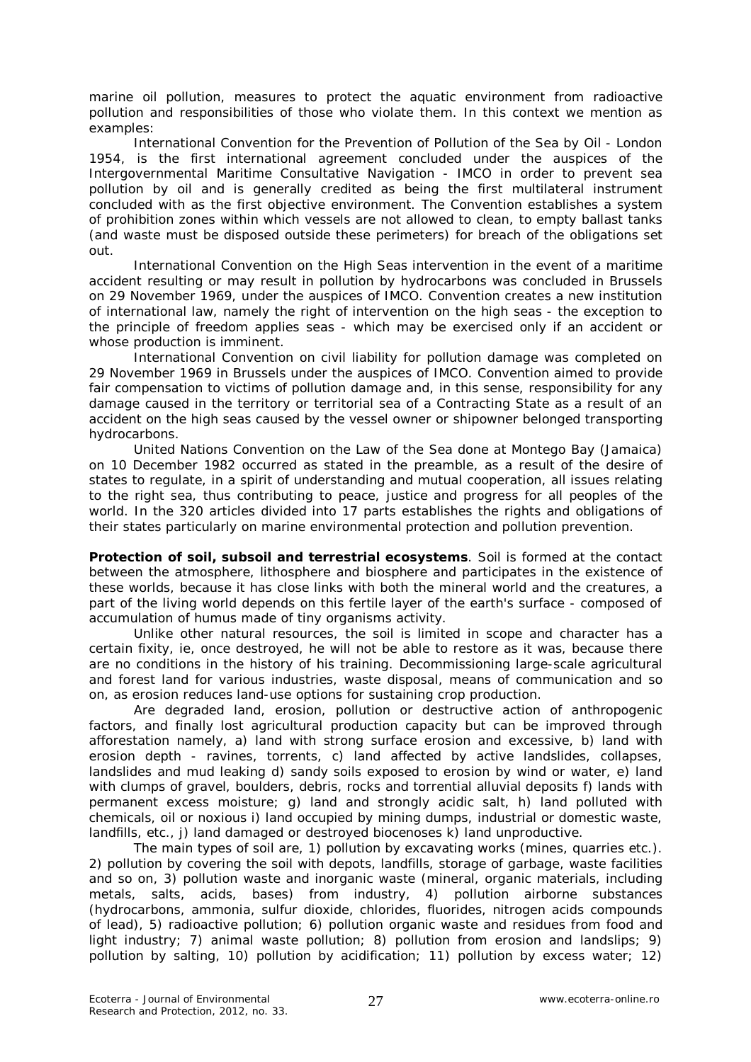marine oil pollution, measures to protect the aquatic environment from radioactive pollution and responsibilities of those who violate them. In this context we mention as examples:

International Convention for the Prevention of Pollution of the Sea by Oil - London 1954, is the first international agreement concluded under the auspices of the Intergovernmental Maritime Consultative Navigation - IMCO in order to prevent sea pollution by oil and is generally credited as being the first multilateral instrument concluded with as the first objective environment. The Convention establishes a system of prohibition zones within which vessels are not allowed to clean, to empty ballast tanks (and waste must be disposed outside these perimeters) for breach of the obligations set out.

International Convention on the High Seas intervention in the event of a maritime accident resulting or may result in pollution by hydrocarbons was concluded in Brussels on 29 November 1969, under the auspices of IMCO. Convention creates a new institution of international law, namely the right of intervention on the high seas - the exception to the principle of freedom applies seas - which may be exercised only if an accident or whose production is imminent.

International Convention on civil liability for pollution damage was completed on 29 November 1969 in Brussels under the auspices of IMCO. Convention aimed to provide fair compensation to victims of pollution damage and, in this sense, responsibility for any damage caused in the territory or territorial sea of a Contracting State as a result of an accident on the high seas caused by the vessel owner or shipowner belonged transporting hydrocarbons.

United Nations Convention on the Law of the Sea done at Montego Bay (Jamaica) on 10 December 1982 occurred as stated in the preamble, as a result of the desire of states to regulate, in a spirit of understanding and mutual cooperation, all issues relating to the right sea, thus contributing to peace, justice and progress for all peoples of the world. In the 320 articles divided into 17 parts establishes the rights and obligations of their states particularly on marine environmental protection and pollution prevention.

*Protection of soil, subsoil and terrestrial ecosystems.* Soil is formed at the contact between the atmosphere, lithosphere and biosphere and participates in the existence of these worlds, because it has close links with both the mineral world and the creatures, a part of the living world depends on this fertile layer of the earth's surface - composed of accumulation of humus made of tiny organisms activity.

Unlike other natural resources, the soil is limited in scope and character has a certain fixity, ie, once destroyed, he will not be able to restore as it was, because there are no conditions in the history of his training. Decommissioning large-scale agricultural and forest land for various industries, waste disposal, means of communication and so on, as erosion reduces land-use options for sustaining crop production.

Are degraded land, erosion, pollution or destructive action of anthropogenic factors, and finally lost agricultural production capacity but can be improved through afforestation namely, a) land with strong surface erosion and excessive, b) land with erosion depth - ravines, torrents, c) land affected by active landslides, collapses, landslides and mud leaking d) sandy soils exposed to erosion by wind or water, e) land with clumps of gravel, boulders, debris, rocks and torrential alluvial deposits f) lands with permanent excess moisture; g) land and strongly acidic salt, h) land polluted with chemicals, oil or noxious i) land occupied by mining dumps, industrial or domestic waste, landfills, etc., j) land damaged or destroyed biocenoses k) land unproductive.

The main types of soil are, 1) pollution by excavating works (mines, quarries etc.). 2) pollution by covering the soil with depots, landfills, storage of garbage, waste facilities and so on, 3) pollution waste and inorganic waste (mineral, organic materials, including metals, salts, acids, bases) from industry, 4) pollution airborne substances (hydrocarbons, ammonia, sulfur dioxide, chlorides, fluorides, nitrogen acids compounds of lead), 5) radioactive pollution; 6) pollution organic waste and residues from food and light industry; 7) animal waste pollution; 8) pollution from erosion and landslips; 9) pollution by salting, 10) pollution by acidification; 11) pollution by excess water; 12)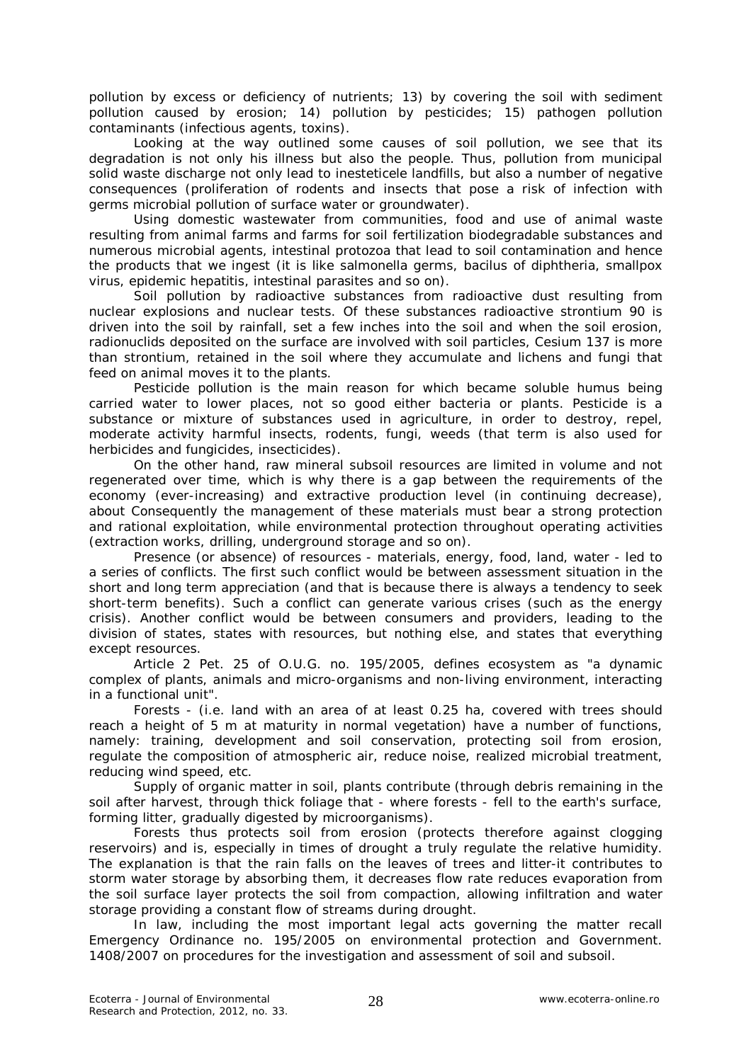pollution by excess or deficiency of nutrients; 13) by covering the soil with sediment pollution caused by erosion; 14) pollution by pesticides; 15) pathogen pollution contaminants (infectious agents, toxins).

Looking at the way outlined some causes of soil pollution, we see that its degradation is not only his illness but also the people. Thus, pollution from municipal solid waste discharge not only lead to inesteticele landfills, but also a number of negative consequences (proliferation of rodents and insects that pose a risk of infection with germs microbial pollution of surface water or groundwater).

Using domestic wastewater from communities, food and use of animal waste resulting from animal farms and farms for soil fertilization biodegradable substances and numerous microbial agents, intestinal protozoa that lead to soil contamination and hence the products that we ingest (it is like salmonella germs, bacilus of diphtheria, smallpox virus, epidemic hepatitis, intestinal parasites and so on).

Soil pollution by radioactive substances from radioactive dust resulting from nuclear explosions and nuclear tests. Of these substances radioactive strontium 90 is driven into the soil by rainfall, set a few inches into the soil and when the soil erosion, radionuclids deposited on the surface are involved with soil particles, Cesium 137 is more than strontium, retained in the soil where they accumulate and lichens and fungi that feed on animal moves it to the plants.

Pesticide pollution is the main reason for which became soluble humus being carried water to lower places, not so good either bacteria or plants. Pesticide is a substance or mixture of substances used in agriculture, in order to destroy, repel, moderate activity harmful insects, rodents, fungi, weeds (that term is also used for herbicides and fungicides, insecticides).

On the other hand, raw mineral subsoil resources are limited in volume and not regenerated over time, which is why there is a gap between the requirements of the economy (ever-increasing) and extractive production level (in continuing decrease), about Consequently the management of these materials must bear a strong protection and rational exploitation, while environmental protection throughout operating activities (extraction works, drilling, underground storage and so on).

Presence (or absence) of resources - materials, energy, food, land, water - led to a series of conflicts. The first such conflict would be between assessment situation in the short and long term appreciation (and that is because there is always a tendency to seek short-term benefits). Such a conflict can generate various crises (such as the energy crisis). Another conflict would be between consumers and providers, leading to the division of states, states with resources, but nothing else, and states that everything except resources.

Article 2 Pet. 25 of O.U.G. no. 195/2005, defines ecosystem as "a dynamic complex of plants, animals and micro-organisms and non-living environment, interacting in a functional unit".

Forests - (i.e. land with an area of at least 0.25 ha, covered with trees should reach a height of 5 m at maturity in normal vegetation) have a number of functions, namely: training, development and soil conservation, protecting soil from erosion, regulate the composition of atmospheric air, reduce noise, realized microbial treatment, reducing wind speed, etc.

Supply of organic matter in soil, plants contribute (through debris remaining in the soil after harvest, through thick foliage that - where forests - fell to the earth's surface, forming litter, gradually digested by microorganisms).

Forests thus protects soil from erosion (protects therefore against clogging reservoirs) and is, especially in times of drought a truly regulate the relative humidity. The explanation is that the rain falls on the leaves of trees and litter-it contributes to storm water storage by absorbing them, it decreases flow rate reduces evaporation from the soil surface layer protects the soil from compaction, allowing infiltration and water storage providing a constant flow of streams during drought.

In law, including the most important legal acts governing the matter recall Emergency Ordinance no. 195/2005 on environmental protection and Government. 1408/2007 on procedures for the investigation and assessment of soil and subsoil.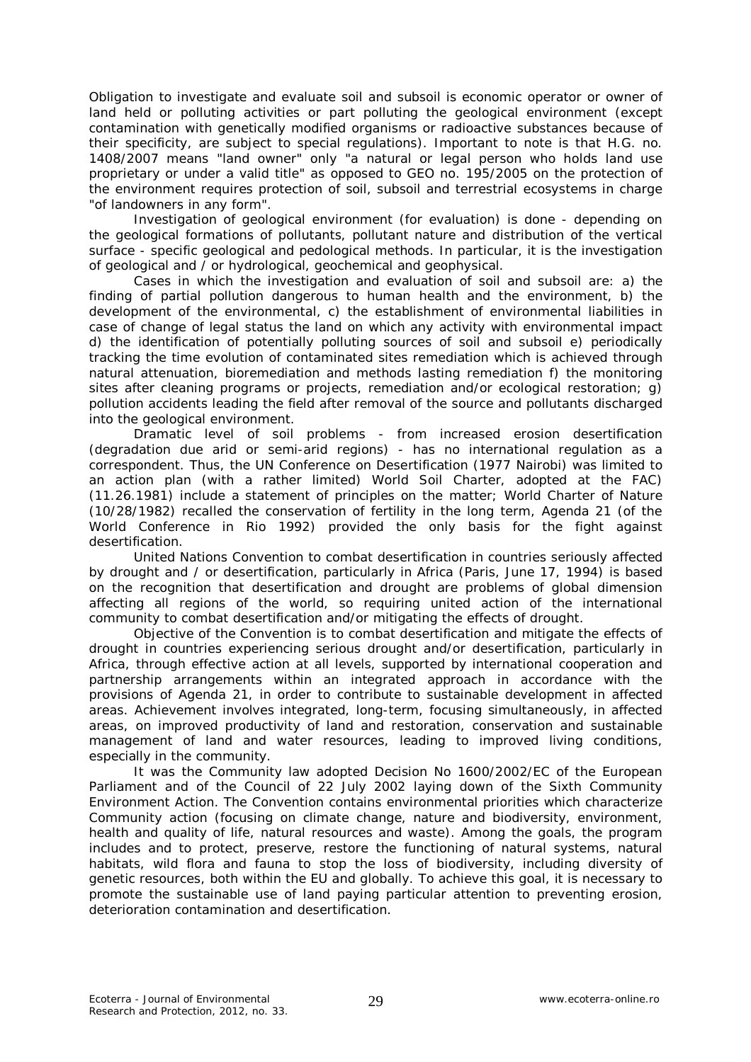Obligation to investigate and evaluate soil and subsoil is economic operator or owner of land held or polluting activities or part polluting the geological environment (except contamination with genetically modified organisms or radioactive substances because of their specificity, are subject to special regulations). Important to note is that H.G. no. 1408/2007 means "land owner" only "a natural or legal person who holds land use proprietary or under a valid title" as opposed to GEO no. 195/2005 on the protection of the environment requires protection of soil, subsoil and terrestrial ecosystems in charge "of landowners in any form".

Investigation of geological environment (for evaluation) is done - depending on the geological formations of pollutants, pollutant nature and distribution of the vertical surface - specific geological and pedological methods. In particular, it is the investigation of geological and / or hydrological, geochemical and geophysical.

Cases in which the investigation and evaluation of soil and subsoil are: a) the finding of partial pollution dangerous to human health and the environment, b) the development of the environmental, c) the establishment of environmental liabilities in case of change of legal status the land on which any activity with environmental impact d) the identification of potentially polluting sources of soil and subsoil e) periodically tracking the time evolution of contaminated sites remediation which is achieved through natural attenuation, bioremediation and methods lasting remediation f) the monitoring sites after cleaning programs or projects, remediation and/or ecological restoration; g) pollution accidents leading the field after removal of the source and pollutants discharged into the geological environment.

Dramatic level of soil problems - from increased erosion desertification (degradation due arid or semi-arid regions) - has no international regulation as a correspondent. Thus, the UN Conference on Desertification (1977 Nairobi) was limited to an action plan (with a rather limited) World Soil Charter, adopted at the FAC) (11.26.1981) include a statement of principles on the matter; World Charter of Nature (10/28/1982) recalled the conservation of fertility in the long term, Agenda 21 (of the World Conference in Rio 1992) provided the only basis for the fight against desertification.

United Nations Convention to combat desertification in countries seriously affected by drought and / or desertification, particularly in Africa (Paris, June 17, 1994) is based on the recognition that desertification and drought are problems of global dimension affecting all regions of the world, so requiring united action of the international community to combat desertification and/or mitigating the effects of drought.

Objective of the Convention is to combat desertification and mitigate the effects of drought in countries experiencing serious drought and/or desertification, particularly in Africa, through effective action at all levels, supported by international cooperation and partnership arrangements within an integrated approach in accordance with the provisions of Agenda 21, in order to contribute to sustainable development in affected areas. Achievement involves integrated, long-term, focusing simultaneously, in affected areas, on improved productivity of land and restoration, conservation and sustainable management of land and water resources, leading to improved living conditions, especially in the community.

It was the Community law adopted Decision No 1600/2002/EC of the European Parliament and of the Council of 22 July 2002 laying down of the Sixth Community Environment Action. The Convention contains environmental priorities which characterize Community action (focusing on climate change, nature and biodiversity, environment, health and quality of life, natural resources and waste). Among the goals, the program includes and to protect, preserve, restore the functioning of natural systems, natural habitats, wild flora and fauna to stop the loss of biodiversity, including diversity of genetic resources, both within the EU and globally. To achieve this goal, it is necessary to promote the sustainable use of land paying particular attention to preventing erosion, deterioration contamination and desertification.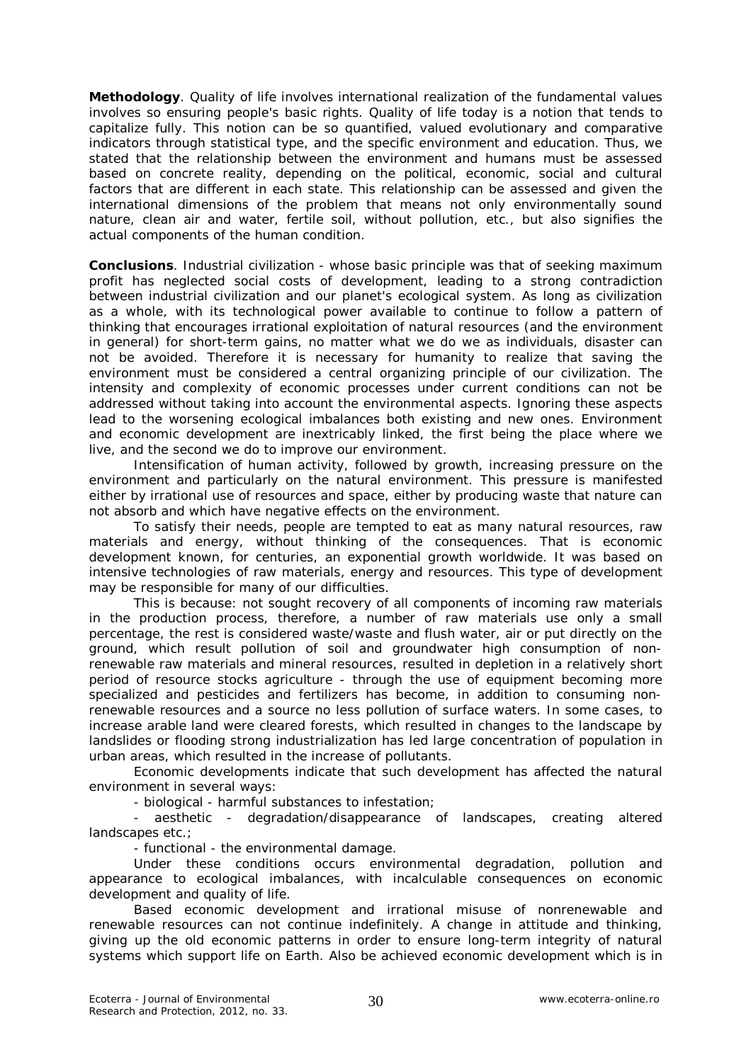**Methodology**. Quality of life involves international realization of the fundamental values involves so ensuring people's basic rights. Quality of life today is a notion that tends to capitalize fully. This notion can be so quantified, valued evolutionary and comparative indicators through statistical type, and the specific environment and education. Thus, we stated that the relationship between the environment and humans must be assessed based on concrete reality, depending on the political, economic, social and cultural factors that are different in each state. This relationship can be assessed and given the international dimensions of the problem that means not only environmentally sound nature, clean air and water, fertile soil, without pollution, etc., but also signifies the actual components of the human condition.

**Conclusions**. Industrial civilization - whose basic principle was that of seeking maximum profit has neglected social costs of development, leading to a strong contradiction between industrial civilization and our planet's ecological system. As long as civilization as a whole, with its technological power available to continue to follow a pattern of thinking that encourages irrational exploitation of natural resources (and the environment in general) for short-term gains, no matter what we do we as individuals, disaster can not be avoided. Therefore it is necessary for humanity to realize that saving the environment must be considered a central organizing principle of our civilization. The intensity and complexity of economic processes under current conditions can not be addressed without taking into account the environmental aspects. Ignoring these aspects lead to the worsening ecological imbalances both existing and new ones. Environment and economic development are inextricably linked, the first being the place where we live, and the second we do to improve our environment.

Intensification of human activity, followed by growth, increasing pressure on the environment and particularly on the natural environment. This pressure is manifested either by irrational use of resources and space, either by producing waste that nature can not absorb and which have negative effects on the environment.

To satisfy their needs, people are tempted to eat as many natural resources, raw materials and energy, without thinking of the consequences. That is economic development known, for centuries, an exponential growth worldwide. It was based on intensive technologies of raw materials, energy and resources. This type of development may be responsible for many of our difficulties.

This is because: not sought recovery of all components of incoming raw materials in the production process, therefore, a number of raw materials use only a small percentage, the rest is considered waste/waste and flush water, air or put directly on the ground, which result pollution of soil and groundwater high consumption of nonrenewable raw materials and mineral resources, resulted in depletion in a relatively short period of resource stocks agriculture - through the use of equipment becoming more specialized and pesticides and fertilizers has become, in addition to consuming nonrenewable resources and a source no less pollution of surface waters. In some cases, to increase arable land were cleared forests, which resulted in changes to the landscape by landslides or flooding strong industrialization has led large concentration of population in urban areas, which resulted in the increase of pollutants.

Economic developments indicate that such development has affected the natural environment in several ways:

- biological - harmful substances to infestation;

- aesthetic - degradation/disappearance of landscapes, creating altered landscapes etc.;

- functional - the environmental damage.

Under these conditions occurs environmental degradation, pollution and appearance to ecological imbalances, with incalculable consequences on economic development and quality of life.

Based economic development and irrational misuse of nonrenewable and renewable resources can not continue indefinitely. A change in attitude and thinking, giving up the old economic patterns in order to ensure long-term integrity of natural systems which support life on Earth. Also be achieved economic development which is in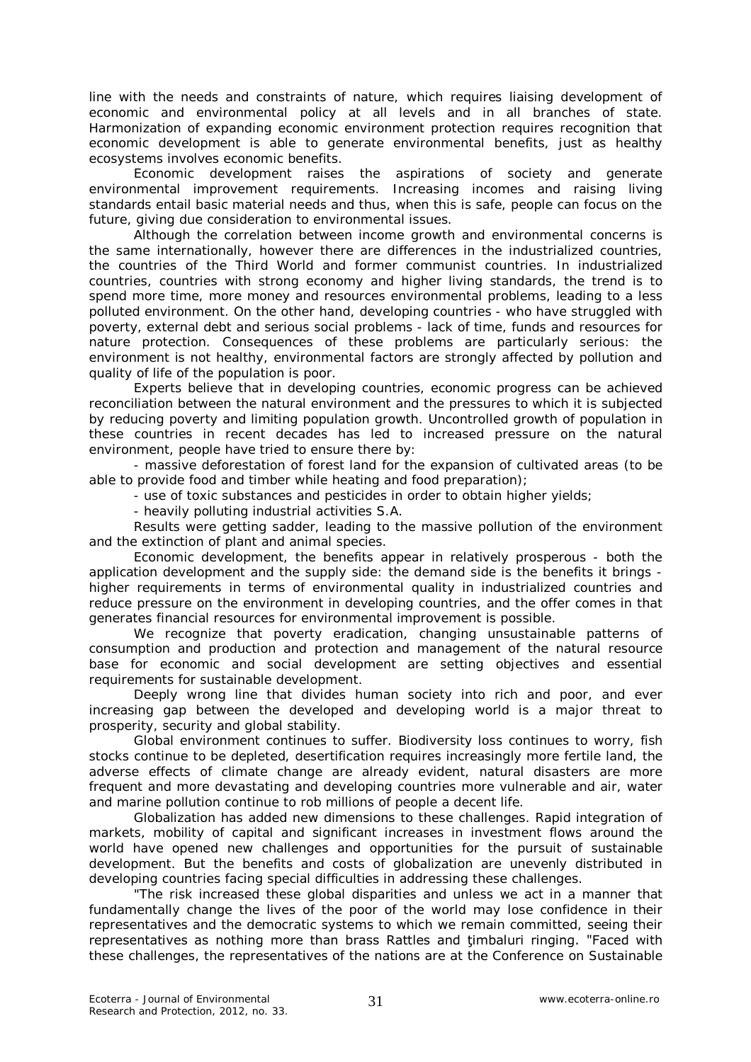line with the needs and constraints of nature, which requires liaising development of economic and environmental policy at all levels and in all branches of state. Harmonization of expanding economic environment protection requires recognition that economic development is able to generate environmental benefits, just as healthy ecosystems involves economic benefits.

Economic development raises the aspirations of society and generate environmental improvement requirements. Increasing incomes and raising living standards entail basic material needs and thus, when this is safe, people can focus on the future, giving due consideration to environmental issues.

Although the correlation between income growth and environmental concerns is the same internationally, however there are differences in the industrialized countries, the countries of the Third World and former communist countries. In industrialized countries, countries with strong economy and higher living standards, the trend is to spend more time, more money and resources environmental problems, leading to a less polluted environment. On the other hand, developing countries - who have struggled with poverty, external debt and serious social problems - lack of time, funds and resources for nature protection. Consequences of these problems are particularly serious: the environment is not healthy, environmental factors are strongly affected by pollution and quality of life of the population is poor.

Experts believe that in developing countries, economic progress can be achieved reconciliation between the natural environment and the pressures to which it is subjected by reducing poverty and limiting population growth. Uncontrolled growth of population in these countries in recent decades has led to increased pressure on the natural environment, people have tried to ensure there by:

- massive deforestation of forest land for the expansion of cultivated areas (to be able to provide food and timber while heating and food preparation);

- use of toxic substances and pesticides in order to obtain higher yields;

- heavily polluting industrial activities S.A.

Results were getting sadder, leading to the massive pollution of the environment and the extinction of plant and animal species.

Economic development, the benefits appear in relatively prosperous - both the application development and the supply side: the demand side is the benefits it brings higher requirements in terms of environmental quality in industrialized countries and reduce pressure on the environment in developing countries, and the offer comes in that generates financial resources for environmental improvement is possible.

We recognize that poverty eradication, changing unsustainable patterns of consumption and production and protection and management of the natural resource base for economic and social development are setting objectives and essential requirements for sustainable development.

Deeply wrong line that divides human society into rich and poor, and ever increasing gap between the developed and developing world is a major threat to prosperity, security and global stability.

Global environment continues to suffer. Biodiversity loss continues to worry, fish stocks continue to be depleted, desertification requires increasingly more fertile land, the adverse effects of climate change are already evident, natural disasters are more frequent and more devastating and developing countries more vulnerable and air, water and marine pollution continue to rob millions of people a decent life.

Globalization has added new dimensions to these challenges. Rapid integration of markets, mobility of capital and significant increases in investment flows around the world have opened new challenges and opportunities for the pursuit of sustainable development. But the benefits and costs of globalization are unevenly distributed in developing countries facing special difficulties in addressing these challenges.

"The risk increased these global disparities and unless we act in a manner that fundamentally change the lives of the poor of the world may lose confidence in their representatives and the democratic systems to which we remain committed, seeing their representatives as nothing more than brass Rattles and ţimbaluri ringing. "Faced with these challenges, the representatives of the nations are at the Conference on Sustainable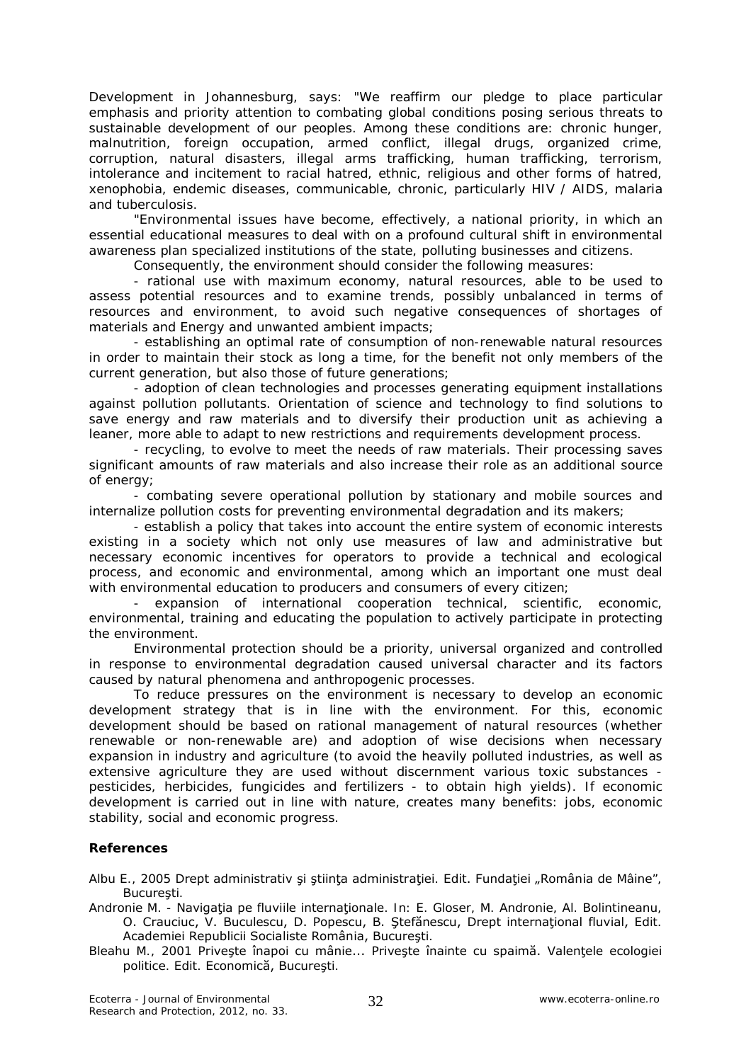Development in Johannesburg, says: "We reaffirm our pledge to place particular emphasis and priority attention to combating global conditions posing serious threats to sustainable development of our peoples. Among these conditions are: chronic hunger, malnutrition, foreign occupation, armed conflict, illegal drugs, organized crime, corruption, natural disasters, illegal arms trafficking, human trafficking, terrorism, intolerance and incitement to racial hatred, ethnic, religious and other forms of hatred, xenophobia, endemic diseases, communicable, chronic, particularly HIV / AIDS, malaria and tuberculosis.

"Environmental issues have become, effectively, a national priority, in which an essential educational measures to deal with on a profound cultural shift in environmental awareness plan specialized institutions of the state, polluting businesses and citizens.

Consequently, the environment should consider the following measures:

- rational use with maximum economy, natural resources, able to be used to assess potential resources and to examine trends, possibly unbalanced in terms of resources and environment, to avoid such negative consequences of shortages of materials and Energy and unwanted ambient impacts;

- establishing an optimal rate of consumption of non-renewable natural resources in order to maintain their stock as long a time, for the benefit not only members of the current generation, but also those of future generations;

- adoption of clean technologies and processes generating equipment installations against pollution pollutants. Orientation of science and technology to find solutions to save energy and raw materials and to diversify their production unit as achieving a leaner, more able to adapt to new restrictions and requirements development process.

- recycling, to evolve to meet the needs of raw materials. Their processing saves significant amounts of raw materials and also increase their role as an additional source of energy;

- combating severe operational pollution by stationary and mobile sources and internalize pollution costs for preventing environmental degradation and its makers;

- establish a policy that takes into account the entire system of economic interests existing in a society which not only use measures of law and administrative but necessary economic incentives for operators to provide a technical and ecological process, and economic and environmental, among which an important one must deal with environmental education to producers and consumers of every citizen;

expansion of international cooperation technical, scientific, economic, environmental, training and educating the population to actively participate in protecting the environment.

Environmental protection should be a priority, universal organized and controlled in response to environmental degradation caused universal character and its factors caused by natural phenomena and anthropogenic processes.

To reduce pressures on the environment is necessary to develop an economic development strategy that is in line with the environment. For this, economic development should be based on rational management of natural resources (whether renewable or non-renewable are) and adoption of wise decisions when necessary expansion in industry and agriculture (to avoid the heavily polluted industries, as well as extensive agriculture they are used without discernment various toxic substances pesticides, herbicides, fungicides and fertilizers - to obtain high yields). If economic development is carried out in line with nature, creates many benefits: jobs, economic stability, social and economic progress.

## **References**

Albu E., 2005 Drept administrativ și știința administrației. Edit. Fundației "România de Mâine", Bucureşti.

- Andronie M. Navigatia pe fluviile internationale. In: E. Gloser, M. Andronie, Al. Bolintineanu, O. Crauciuc, V. Buculescu, D. Popescu, B. Ştefănescu, Drept internaţional fluvial, Edit. Academiei Republicii Socialiste România, Bucureşti.
- Bleahu M., 2001 Priveşte înapoi cu mânie... Priveşte înainte cu spaimă. Valenţele ecologiei politice. Edit. Economică, Bucureşti.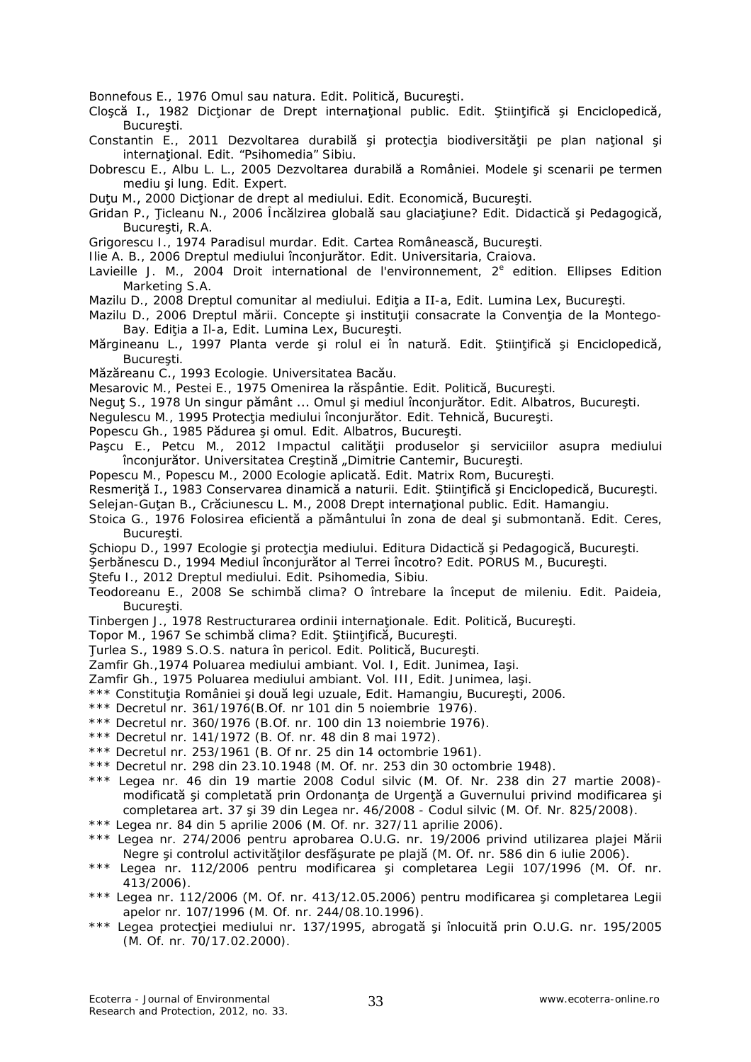Bonnefous E., 1976 Omul sau natura. Edit. Politică, Bucureşti.

- Cloșcă I., 1982 Dicționar de Drept internațional public. Edit. Științifică și Enciclopedică, Bucureşti.
- Constantin E., 2011 Dezvoltarea durabilă și protecția biodiversității pe plan național și internaţional. Edit. "Psihomedia" Sibiu.
- Dobrescu E., Albu L. L., 2005 Dezvoltarea durabilă a României. Modele şi scenarii pe termen mediu şi lung. Edit. Expert.
- Duţu M., 2000 Dicţionar de drept al mediului. Edit. Economică, Bucureşti.
- Gridan P., Ţicleanu N., 2006 Încălzirea globală sau glaciaţiune? Edit. Didactică şi Pedagogică, Bucureşti, R.A.
- Grigorescu I., 1974 Paradisul murdar. Edit. Cartea Românească, Bucureşti.
- Ilie A. B., 2006 Dreptul mediului înconjurător. Edit. Universitaria, Craiova.
- Lavieille J. M., 2004 Droit international de l'environnement,  $2^e$  edition. Ellipses Edition Marketing S.A.
- Mazilu D., 2008 Dreptul comunitar al mediului. Editia a II-a, Edit. Lumina Lex, București.
- Mazilu D., 2006 Dreptul mării. Concepte și instituții consacrate la Convenția de la Montego-Bay. Ediția a Il-a, Edit. Lumina Lex, București.
- Mărgineanu L., 1997 Planta verde şi rolul ei în natură. Edit. Ştiinţifică şi Enciclopedică, Bucureşti.
- Măzăreanu C., 1993 Ecologie. Universitatea Bacău.
- Mesarovic M., Pestei E., 1975 Omenirea la răspântie. Edit. Politică, Bucureşti.
- Neguţ S., 1978 Un singur pământ ... Omul şi mediul înconjurător. Edit. Albatros, Bucureşti.
- Negulescu M., 1995 Protecţia mediului înconjurător. Edit. Tehnică, Bucureşti.
- Popescu Gh., 1985 Pădurea şi omul. Edit. Albatros, Bucureşti.
- Pașcu E., Petcu M., 2012 Impactul calității produselor și serviciilor asupra mediului înconjurător. Universitatea Creștină "Dimitrie Cantemir, București.
- Popescu M., Popescu M., 2000 Ecologie aplicată. Edit. Matrix Rom, Bucureşti.
- Resmeriţă I., 1983 Conservarea dinamică a naturii. Edit. Ştiinţifică şi Enciclopedică, Bucureşti.
- Selejan-Gutan B., Crăciunescu L. M., 2008 Drept international public. Edit. Hamangiu.
- Stoica G., 1976 Folosirea eficientă a pământului în zona de deal şi submontană. Edit. Ceres, Bucureşti.
- Schiopu D., 1997 Ecologie și protecția mediului. Editura Didactică și Pedagogică, București.
- Şerbănescu D., 1994 Mediul înconjurător al Terrei încotro? Edit. PORUS M., Bucureşti.
- Ştefu I., 2012 Dreptul mediului. Edit. Psihomedia, Sibiu.
- Teodoreanu E., 2008 Se schimbă clima? O întrebare la început de mileniu. Edit. Paideia, Bucureşti.
- Tinbergen J., 1978 Restructurarea ordinii internaţionale. Edit. Politică, Bucureşti.
- Topor M., 1967 Se schimbă clima? Edit. Ştiinţifică, Bucureşti.
- Ţurlea S., 1989 S.O.S. natura în pericol. Edit. Politică, Bucureşti.
- Zamfir Gh.,1974 Poluarea mediului ambiant. Vol. I, Edit. Junimea, Iaşi.
- Zamfir Gh., 1975 Poluarea mediului ambiant. Vol. III, Edit. Junimea, laşi.
- \*\*\* Constituţia României şi două legi uzuale, Edit. Hamangiu, Bucureşti, 2006.
- \*\*\* Decretul nr. 361/1976(B.Of. nr 101 din 5 noiembrie 1976).
- \*\*\* Decretul nr. 360/1976 (B.Of. nr. 100 din 13 noiembrie 1976).
- \*\*\* Decretul nr. 141/1972 (B. Of. nr. 48 din 8 mai 1972).
- \*\*\* Decretul nr. 253/1961 (B. Of nr. 25 din 14 octombrie 1961).
- \*\*\* Decretul nr. 298 din 23.10.1948 (M. Of. nr. 253 din 30 octombrie 1948).
- \*\*\* Legea nr. 46 din 19 martie 2008 Codul silvic (M. Of. Nr. 238 din 27 martie 2008) modificată şi completată prin Ordonanţa de Urgenţă a Guvernului privind modificarea şi completarea art. 37 şi 39 din Legea nr. 46/2008 - Codul silvic (M. Of. Nr. 825/2008).
- \*\*\* Legea nr. 84 din 5 aprilie 2006 (M. Of. nr. 327/11 aprilie 2006).
- \*\*\* Legea nr. 274/2006 pentru aprobarea O.U.G. nr. 19/2006 privind utilizarea plajei Mării Negre şi controlul activităţilor desfăşurate pe plajă (M. Of. nr. 586 din 6 iulie 2006).
- \*\*\* Legea nr. 112/2006 pentru modificarea şi completarea Legii 107/1996 (M. Of. nr. 413/2006).
- \*\*\* Legea nr. 112/2006 (M. Of. nr. 413/12.05.2006) pentru modificarea şi completarea Legii apelor nr. 107/1996 (M. Of. nr. 244/08.10.1996).
- \*\*\* Legea protecţiei mediului nr. 137/1995, abrogată şi înlocuită prin O.U.G. nr. 195/2005 (M. Of. nr. 70/17.02.2000).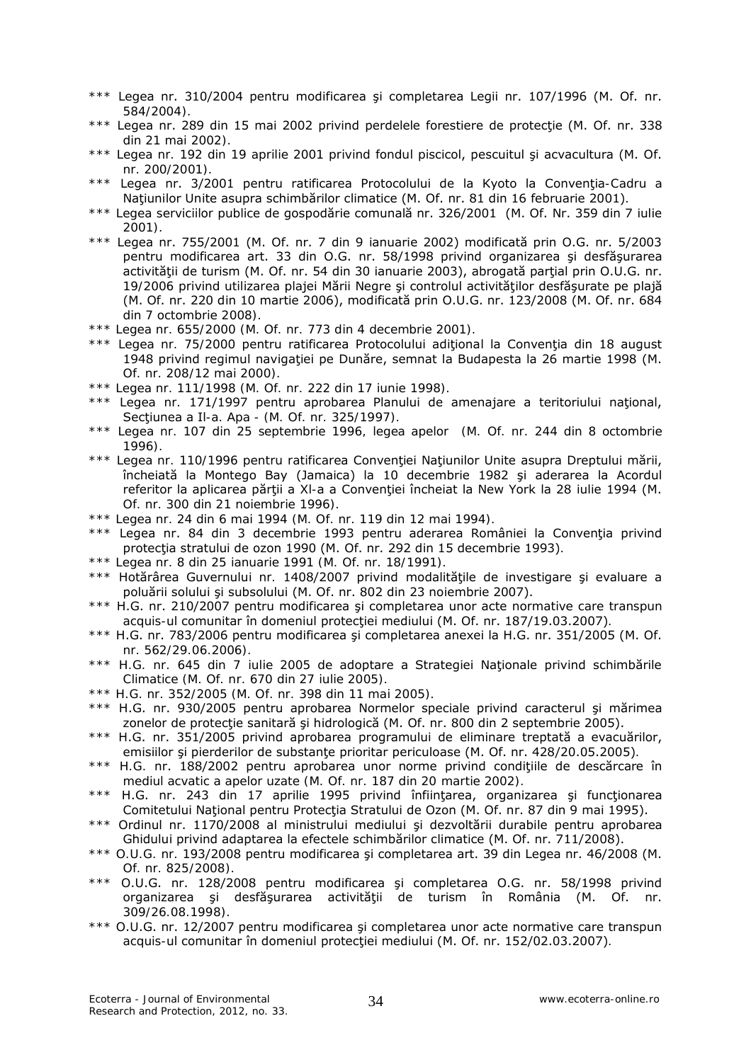- Legea nr. 310/2004 pentru modificarea și completarea Legii nr. 107/1996 (M. Of. nr. 584/2004).
- \*\*\* Legea nr. 289 din 15 mai 2002 privind perdelele forestiere de protecţie (M. Of. nr. 338 din 21 mai 2002).
- \*\*\* Legea nr. 192 din 19 aprilie 2001 privind fondul piscicol, pescuitul şi acvacultura (M. Of. nr. 200/2001).
- Legea nr. 3/2001 pentru ratificarea Protocolului de la Kyoto la Convenția-Cadru a Naţiunilor Unite asupra schimbărilor climatice (M. Of. nr. 81 din 16 februarie 2001).
- \*\*\* Legea serviciilor publice de gospodărie comunală nr. 326/2001 (M. Of. Nr. 359 din 7 iulie 2001).
- \*\*\* Legea nr. 755/2001 (M. Of. nr. 7 din 9 ianuarie 2002) modificată prin O.G. nr. 5/2003 pentru modificarea art. 33 din O.G. nr. 58/1998 privind organizarea şi desfăşurarea activității de turism (M. Of. nr. 54 din 30 ianuarie 2003), abrogată parțial prin O.U.G. nr. 19/2006 privind utilizarea plajei Mării Negre și controlul activităților desfășurate pe plajă (M. Of. nr. 220 din 10 martie 2006), modificată prin O.U.G. nr. 123/2008 (M. Of. nr. 684 din 7 octombrie 2008).
- \*\*\* Legea nr. 655/2000 (M. Of. nr. 773 din 4 decembrie 2001).
- \*\*\* Legea nr. 75/2000 pentru ratificarea Protocolului aditional la Conventia din 18 august 1948 privind regimul navigaţiei pe Dunăre, semnat la Budapesta la 26 martie 1998 (M. Of. nr. 208/12 mai 2000).
- \*\*\* Legea nr. 111/1998 (M. Of. nr. 222 din 17 iunie 1998).
- \*\*\* Legea nr. 171/1997 pentru aprobarea Planului de amenajare a teritoriului naţional, Secţiunea a Il-a. Apa - (M. Of. nr. 325/1997).
- \*\*\* Legea nr. 107 din 25 septembrie 1996, legea apelor (M. Of. nr. 244 din 8 octombrie 1996).
- \*\*\* Legea nr. 110/1996 pentru ratificarea Convenției Națiunilor Unite asupra Dreptului mării, încheiată la Montego Bay (Jamaica) la 10 decembrie 1982 şi aderarea la Acordul referitor la aplicarea părţii a Xl-a a Convenţiei încheiat la New York la 28 iulie 1994 (M. Of. nr. 300 din 21 noiembrie 1996).
- \*\*\* Legea nr. 24 din 6 mai 1994 (M. Of. nr. 119 din 12 mai 1994).
- \*\*\* Legea nr. 84 din 3 decembrie 1993 pentru aderarea României la Convenția privind protecția stratului de ozon 1990 (M. Of. nr. 292 din 15 decembrie 1993).
- \*\*\* Legea nr. 8 din 25 ianuarie 1991 (M. Of. nr. 18/1991).
- \*\*\* Hotărârea Guvernului nr. 1408/2007 privind modalitățile de investigare și evaluare a poluării solului şi subsolului (M. Of. nr. 802 din 23 noiembrie 2007).
- \*\*\* H.G. nr. 210/2007 pentru modificarea şi completarea unor acte normative care transpun acquis-ul comunitar în domeniul protecţiei mediului (M. Of. nr. 187/19.03.2007).
- \*\*\* H.G. nr. 783/2006 pentru modificarea şi completarea anexei la H.G. nr. 351/2005 (M. Of. nr. 562/29.06.2006).
- \*\*\* H.G. nr. 645 din 7 iulie 2005 de adoptare a Strategiei Naţionale privind schimbările Climatice (M. Of. nr. 670 din 27 iulie 2005).
- \*\*\* H.G. nr. 352/2005 (M. Of. nr. 398 din 11 mai 2005).
- \*\*\* H.G. nr. 930/2005 pentru aprobarea Normelor speciale privind caracterul şi mărimea zonelor de protecție sanitară și hidrologică (M. Of. nr. 800 din 2 septembrie 2005).
- \*\*\* H.G. nr. 351/2005 privind aprobarea programului de eliminare treptată a evacuărilor, emisiilor și pierderilor de substanțe prioritar periculoase (M. Of. nr. 428/20.05.2005).
- \*\*\* H.G. nr. 188/2002 pentru aprobarea unor norme privind condiţiile de descărcare în mediul acvatic a apelor uzate (M. Of. nr. 187 din 20 martie 2002).
- \*\*\* H.G. nr. 243 din 17 aprilie 1995 privind înfiinţarea, organizarea şi funcţionarea Comitetului National pentru Protectia Stratului de Ozon (M. Of. nr. 87 din 9 mai 1995).
- \*\*\* Ordinul nr. 1170/2008 al ministrului mediului şi dezvoltării durabile pentru aprobarea Ghidului privind adaptarea la efectele schimbărilor climatice (M. Of. nr. 711/2008).
- \*\*\* O.U.G. nr. 193/2008 pentru modificarea şi completarea art. 39 din Legea nr. 46/2008 (M. Of. nr. 825/2008).
- \*\*\* O.U.G. nr. 128/2008 pentru modificarea şi completarea O.G. nr. 58/1998 privind organizarea şi desfăşurarea activităţii de turism în România (M. Of. nr. 309/26.08.1998).
- \*\*\* O.U.G. nr. 12/2007 pentru modificarea şi completarea unor acte normative care transpun acquis-ul comunitar în domeniul protectiei mediului (M. Of. nr. 152/02.03.2007).